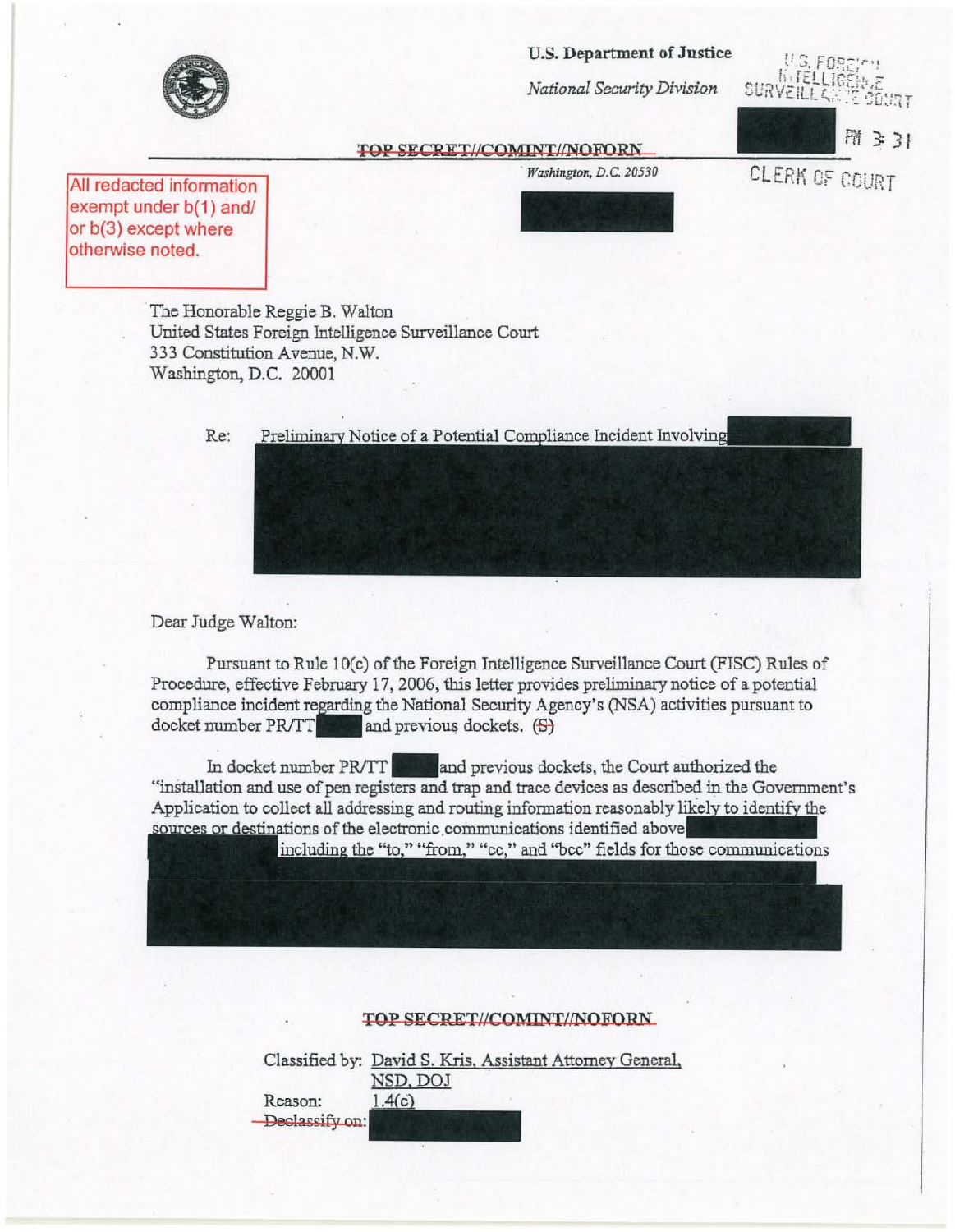U.S. Department of Justice

*National Security Division* 

U.S. FOREIGN<br>U.S. FOREIGNE SURVEILLES DE COURT



**TOP SECRET//COMINT//NOFORN**<br>Washington, D.C. 20530 CLERK OF COURT

All redacted information exempt under b(1) and/ or b(3) except where otherwise noted.

*. Washington, D.C. 20530* 

The Honorable Reggie B. Walton United States Foreign Intelligence Surveillance Court 333 Constitution Avenue, N.W. Washington, D.C. 20001

> Preliminary Notice of a Potential Compliance Incident Involving Re:

Dear Judge Walton:

Pursuant to Rule 10(c) of the Foreign Intelligence Surveillance Court (FISC) Rules of Procedure, effective February 17, 2006, this letter provides preliminary notice of a potential compliance incident regarding the National Security Agency's (NSA) activities pursuant to docket number  $PRTT$  and previous dockets.  $(S)$ 

In docket number PR/TT **and previous dockets**, the Court authorized the "installation and use of pen registers and trap and trace devices as described in the Government's Application to collect all addressing and routing information reasonably of the electronic communications identified above uthorized the<br>bed in the Government's<br>likely to identify the ous dockets, the Court authorized the<br>1 trace devices as described in the Government's<br>information reasonably likely to identify the<br>ications identified above

# TOP SECRET//COMINT//NOFORN

Classified by: David S. Kris. Assistant Attorney General, NSD, DOJ  $1.4(c)$ Reason: -Declassify on: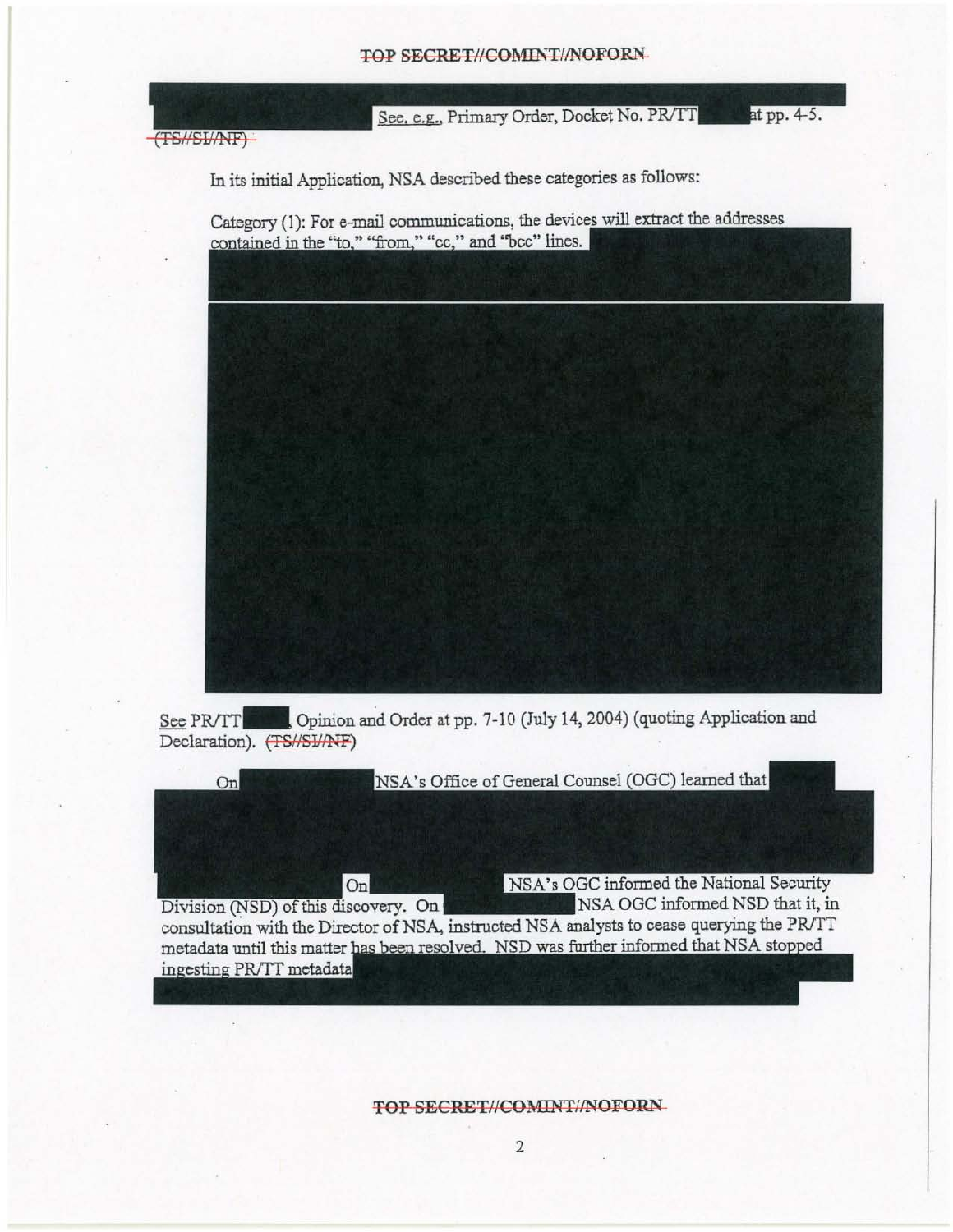#### TOP SECRET//COMINT//NOFORN



 $-TS\text{/}/S\text{L}/N F$ 

In its initial Application, NSA described these categories as follows:

Category (1): For e-mail communications, the devices will extract the addresses contained in the "to," "from," "cc," and "bcc" lines.







**TOP SECRET//COMINT//NOFORN**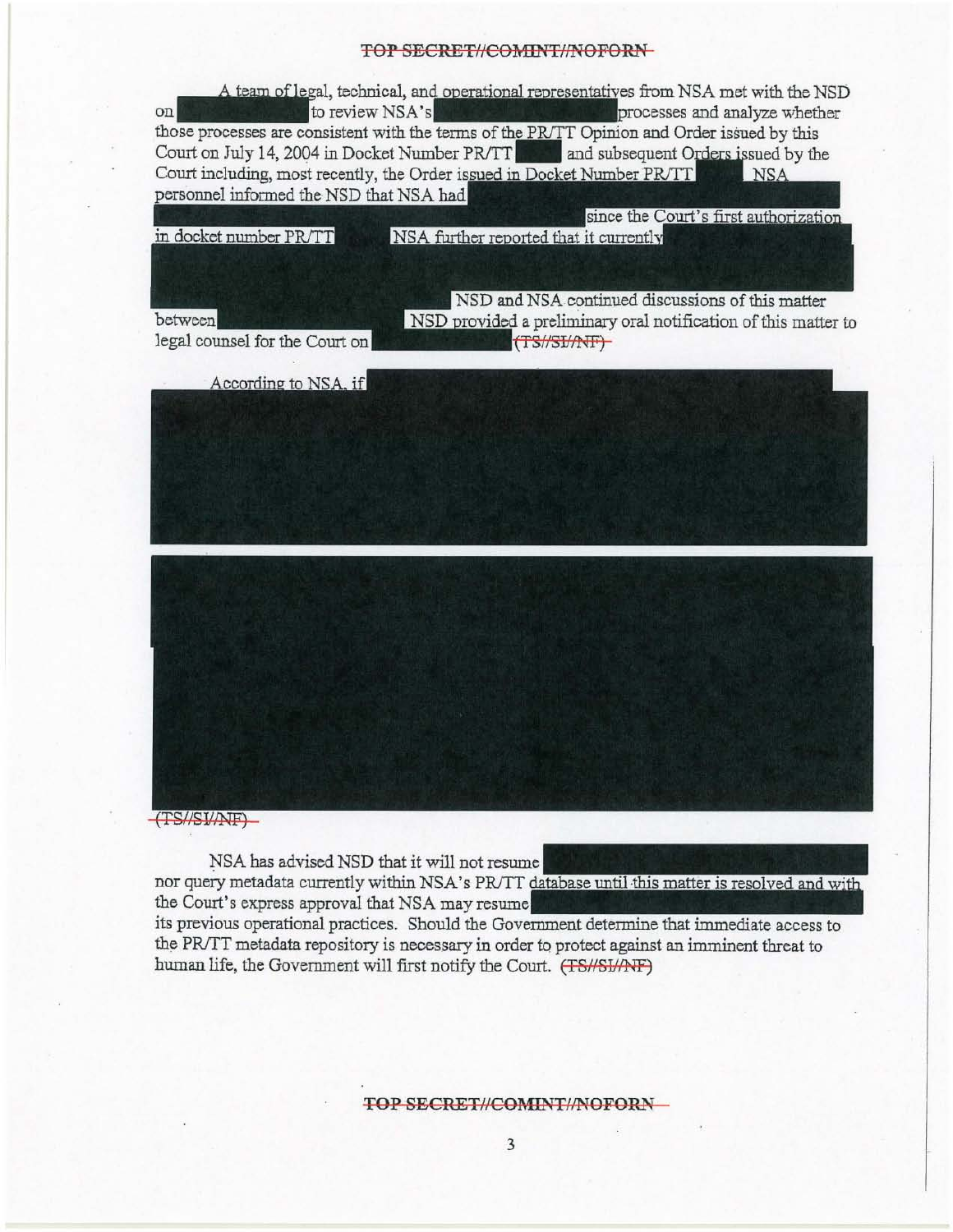## TOP SECRET//COMINT//NOFORN-

**EXECT ANALY AND TO A SECRET/COMINT/INOFORN**<br>
A team of legal, technical, and operational representatives from NSA met with the NSI<br>
to review NSA's<br>
those processes are consistent with the terms of the PRITT Opinion and O <sup>2</sup> A team of legal, technical, and operational representatives from NSA met with the NSD<br>to review NSA's<br>processes and analyze whether Court on July 14, 2004 in Docket Number PR/TT. and subsequent Orders issued by the Court including, most recently, the Order issued in Docket Number PR/TT **NSA** personnel informed the NSD that NSA had

in docket number PR/TT

NSA further reported that it currently

between

legal counsel for the Court on

NSD and NSA continued discussions of this matter NSD provided a preliminary oral notification of this matter to (TS//SI/ATF)

since the Court's first authorization

According to NSA, if



 $TSS\sqrt{SVMNF}$ 

NSA has advised NSD that it will not resume

nor query metadata currently within NSA's PR/TT database until this matter is resolved and with the Court's express approval that NSA may resume

its previous operational practices. Should the Government access to the PR/TT metadata repository is necessary in order to protect against an imminent threat to human life, the Government will first notify the Court. (TS/SJ/ANF)

### **TOP SECRET//COMINT//NOFORN-**